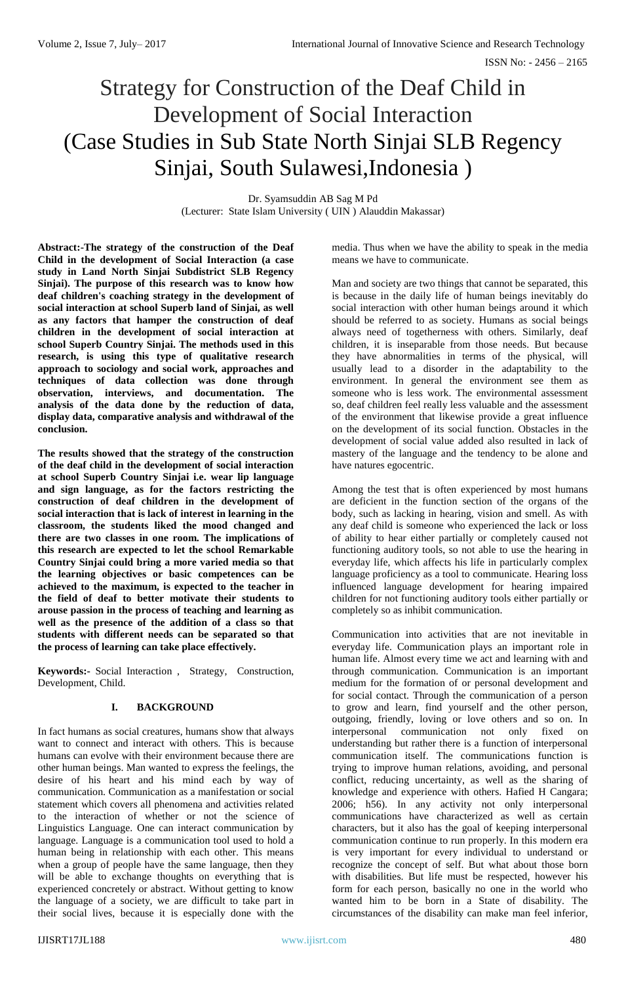# Strategy for Construction of the Deaf Child in Development of Social Interaction (Case Studies in Sub State North Sinjai SLB Regency Sinjai, South Sulawesi,Indonesia )

Dr. Syamsuddin AB Sag M Pd (Lecturer: State Islam University ( UIN ) Alauddin Makassar)

**Abstract:-The strategy of the construction of the Deaf Child in the development of Social Interaction (a case study in Land North Sinjai Subdistrict SLB Regency Sinjai). The purpose of this research was to know how deaf children's coaching strategy in the development of social interaction at school Superb land of Sinjai, as well as any factors that hamper the construction of deaf children in the development of social interaction at school Superb Country Sinjai. The methods used in this research, is using this type of qualitative research approach to sociology and social work, approaches and techniques of data collection was done through observation, interviews, and documentation. The analysis of the data done by the reduction of data, display data, comparative analysis and withdrawal of the conclusion.**

**The results showed that the strategy of the construction of the deaf child in the development of social interaction at school Superb Country Sinjai i.e. wear lip language and sign language, as for the factors restricting the construction of deaf children in the development of social interaction that is lack of interest in learning in the classroom, the students liked the mood changed and there are two classes in one room. The implications of this research are expected to let the school Remarkable Country Sinjai could bring a more varied media so that the learning objectives or basic competences can be achieved to the maximum, is expected to the teacher in the field of deaf to better motivate their students to arouse passion in the process of teaching and learning as well as the presence of the addition of a class so that students with different needs can be separated so that the process of learning can take place effectively.**

**Keywords:-** Social Interaction , Strategy, Construction, Development, Child.

# **I. BACKGROUND**

In fact humans as social creatures, humans show that always want to connect and interact with others. This is because humans can evolve with their environment because there are other human beings. Man wanted to express the feelings, the desire of his heart and his mind each by way of communication. Communication as a manifestation or social statement which covers all phenomena and activities related to the interaction of whether or not the science of Linguistics Language. One can interact communication by language. Language is a communication tool used to hold a human being in relationship with each other. This means when a group of people have the same language, then they will be able to exchange thoughts on everything that is experienced concretely or abstract. Without getting to know the language of a society, we are difficult to take part in their social lives, because it is especially done with the

media. Thus when we have the ability to speak in the media means we have to communicate.

Man and society are two things that cannot be separated, this is because in the daily life of human beings inevitably do social interaction with other human beings around it which should be referred to as society. Humans as social beings always need of togetherness with others. Similarly, deaf children, it is inseparable from those needs. But because they have abnormalities in terms of the physical, will usually lead to a disorder in the adaptability to the environment. In general the environment see them as someone who is less work. The environmental assessment so, deaf children feel really less valuable and the assessment of the environment that likewise provide a great influence on the development of its social function. Obstacles in the development of social value added also resulted in lack of mastery of the language and the tendency to be alone and have natures egocentric.

Among the test that is often experienced by most humans are deficient in the function section of the organs of the body, such as lacking in hearing, vision and smell. As with any deaf child is someone who experienced the lack or loss of ability to hear either partially or completely caused not functioning auditory tools, so not able to use the hearing in everyday life, which affects his life in particularly complex language proficiency as a tool to communicate. Hearing loss influenced language development for hearing impaired children for not functioning auditory tools either partially or completely so as inhibit communication.

Communication into activities that are not inevitable in everyday life. Communication plays an important role in human life. Almost every time we act and learning with and through communication. Communication is an important medium for the formation of or personal development and for social contact. Through the communication of a person to grow and learn, find yourself and the other person, outgoing, friendly, loving or love others and so on. In interpersonal communication not only fixed on understanding but rather there is a function of interpersonal communication itself. The communications function is trying to improve human relations, avoiding, and personal conflict, reducing uncertainty, as well as the sharing of knowledge and experience with others. Hafied H Cangara; 2006; h56). In any activity not only interpersonal communications have characterized as well as certain characters, but it also has the goal of keeping interpersonal communication continue to run properly. In this modern era is very important for every individual to understand or recognize the concept of self. But what about those born with disabilities. But life must be respected, however his form for each person, basically no one in the world who wanted him to be born in a State of disability. The circumstances of the disability can make man feel inferior,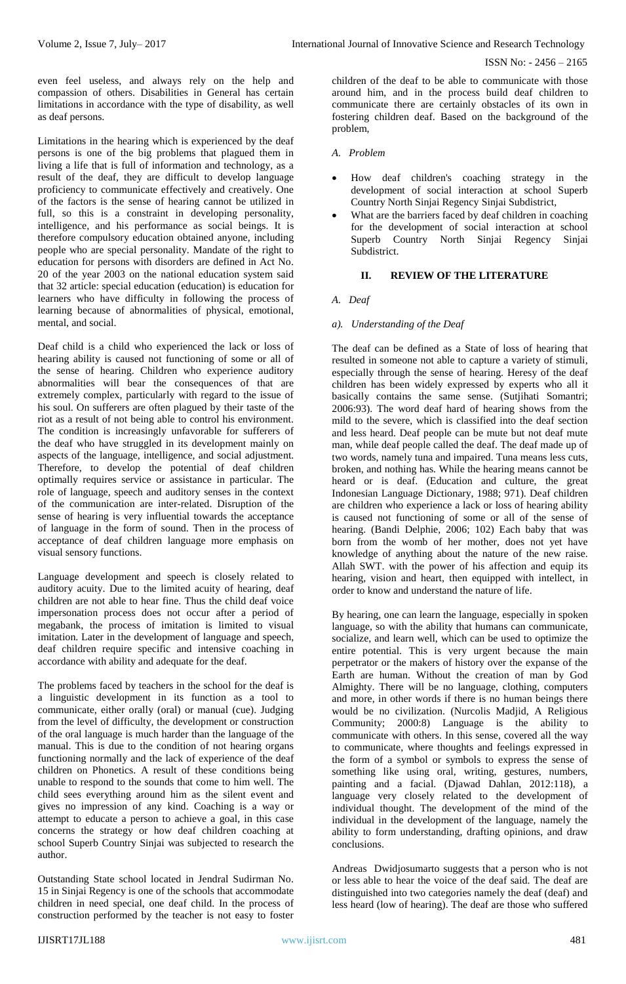even feel useless, and always rely on the help and compassion of others. Disabilities in General has certain limitations in accordance with the type of disability, as well as deaf persons.

Limitations in the hearing which is experienced by the deaf persons is one of the big problems that plagued them in living a life that is full of information and technology, as a result of the deaf, they are difficult to develop language proficiency to communicate effectively and creatively. One of the factors is the sense of hearing cannot be utilized in full, so this is a constraint in developing personality, intelligence, and his performance as social beings. It is therefore compulsory education obtained anyone, including people who are special personality. Mandate of the right to education for persons with disorders are defined in Act No. 20 of the year 2003 on the national education system said that 32 article: special education (education) is education for learners who have difficulty in following the process of learning because of abnormalities of physical, emotional, mental, and social.

Deaf child is a child who experienced the lack or loss of hearing ability is caused not functioning of some or all of the sense of hearing. Children who experience auditory abnormalities will bear the consequences of that are extremely complex, particularly with regard to the issue of his soul. On sufferers are often plagued by their taste of the riot as a result of not being able to control his environment. The condition is increasingly unfavorable for sufferers of the deaf who have struggled in its development mainly on aspects of the language, intelligence, and social adjustment. Therefore, to develop the potential of deaf children optimally requires service or assistance in particular. The role of language, speech and auditory senses in the context of the communication are inter-related. Disruption of the sense of hearing is very influential towards the acceptance of language in the form of sound. Then in the process of acceptance of deaf children language more emphasis on visual sensory functions.

Language development and speech is closely related to auditory acuity. Due to the limited acuity of hearing, deaf children are not able to hear fine. Thus the child deaf voice impersonation process does not occur after a period of megabank, the process of imitation is limited to visual imitation. Later in the development of language and speech, deaf children require specific and intensive coaching in accordance with ability and adequate for the deaf.

The problems faced by teachers in the school for the deaf is a linguistic development in its function as a tool to communicate, either orally (oral) or manual (cue). Judging from the level of difficulty, the development or construction of the oral language is much harder than the language of the manual. This is due to the condition of not hearing organs functioning normally and the lack of experience of the deaf children on Phonetics. A result of these conditions being unable to respond to the sounds that come to him well. The child sees everything around him as the silent event and gives no impression of any kind. Coaching is a way or attempt to educate a person to achieve a goal, in this case concerns the strategy or how deaf children coaching at school Superb Country Sinjai was subjected to research the author.

Outstanding State school located in Jendral Sudirman No. 15 in Sinjai Regency is one of the schools that accommodate children in need special, one deaf child. In the process of construction performed by the teacher is not easy to foster

children of the deaf to be able to communicate with those around him, and in the process build deaf children to communicate there are certainly obstacles of its own in fostering children deaf. Based on the background of the problem,

- *A. Problem*
- How deaf children's coaching strategy in the development of social interaction at school Superb Country North Sinjai Regency Sinjai Subdistrict,
- What are the barriers faced by deaf children in coaching for the development of social interaction at school Superb Country North Sinjai Regency Sinjai Subdistrict.

# **II. REVIEW OF THE LITERATURE**

## *A. Deaf*

#### *a). Understanding of the Deaf*

The deaf can be defined as a State of loss of hearing that resulted in someone not able to capture a variety of stimuli, especially through the sense of hearing. Heresy of the deaf children has been widely expressed by experts who all it basically contains the same sense. (Sutjihati Somantri; 2006:93). The word deaf hard of hearing shows from the mild to the severe, which is classified into the deaf section and less heard. Deaf people can be mute but not deaf mute man, while deaf people called the deaf. The deaf made up of two words, namely tuna and impaired. Tuna means less cuts, broken, and nothing has. While the hearing means cannot be heard or is deaf. (Education and culture, the great Indonesian Language Dictionary, 1988; 971). Deaf children are children who experience a lack or loss of hearing ability is caused not functioning of some or all of the sense of hearing. (Bandi Delphie, 2006; 102) Each baby that was born from the womb of her mother, does not yet have knowledge of anything about the nature of the new raise. Allah SWT. with the power of his affection and equip its hearing, vision and heart, then equipped with intellect, in order to know and understand the nature of life.

By hearing, one can learn the language, especially in spoken language, so with the ability that humans can communicate, socialize, and learn well, which can be used to optimize the entire potential. This is very urgent because the main perpetrator or the makers of history over the expanse of the Earth are human. Without the creation of man by God Almighty. There will be no language, clothing, computers and more, in other words if there is no human beings there would be no civilization. (Nurcolis Madjid, A Religious Community; 2000:8) Language is the ability to communicate with others. In this sense, covered all the way to communicate, where thoughts and feelings expressed in the form of a symbol or symbols to express the sense of something like using oral, writing, gestures, numbers, painting and a facial. (Djawad Dahlan, 2012:118), a language very closely related to the development of individual thought. The development of the mind of the individual in the development of the language, namely the ability to form understanding, drafting opinions, and draw conclusions.

Andreas Dwidjosumarto suggests that a person who is not or less able to hear the voice of the deaf said. The deaf are distinguished into two categories namely the deaf (deaf) and less heard (low of hearing). The deaf are those who suffered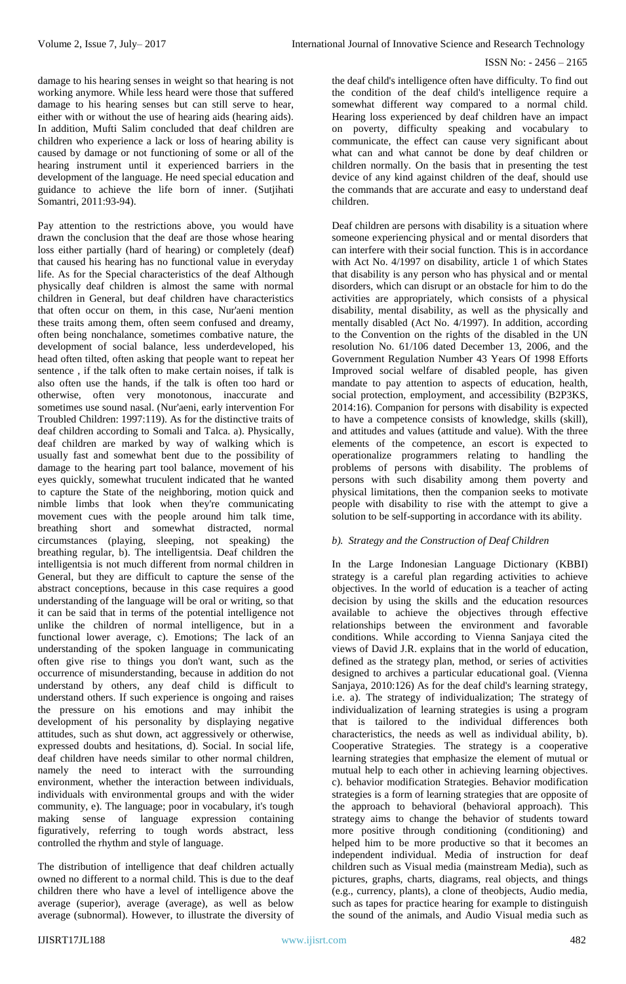ISSN No: - 2456 – 2165

damage to his hearing senses in weight so that hearing is not working anymore. While less heard were those that suffered damage to his hearing senses but can still serve to hear, either with or without the use of hearing aids (hearing aids). In addition, Mufti Salim concluded that deaf children are children who experience a lack or loss of hearing ability is caused by damage or not functioning of some or all of the hearing instrument until it experienced barriers in the development of the language. He need special education and guidance to achieve the life born of inner. (Sutjihati Somantri, 2011:93-94).

Pay attention to the restrictions above, you would have drawn the conclusion that the deaf are those whose hearing loss either partially (hard of hearing) or completely (deaf) that caused his hearing has no functional value in everyday life. As for the Special characteristics of the deaf Although physically deaf children is almost the same with normal children in General, but deaf children have characteristics that often occur on them, in this case, Nur'aeni mention these traits among them, often seem confused and dreamy, often being nonchalance, sometimes combative nature, the development of social balance, less underdeveloped, his head often tilted, often asking that people want to repeat her sentence , if the talk often to make certain noises, if talk is also often use the hands, if the talk is often too hard or otherwise, often very monotonous, inaccurate and sometimes use sound nasal. (Nur'aeni, early intervention For Troubled Children: 1997:119). As for the distinctive traits of deaf children according to Somali and Talca. a). Physically, deaf children are marked by way of walking which is usually fast and somewhat bent due to the possibility of damage to the hearing part tool balance, movement of his eyes quickly, somewhat truculent indicated that he wanted to capture the State of the neighboring, motion quick and nimble limbs that look when they're communicating movement cues with the people around him talk time, breathing short and somewhat distracted, normal circumstances (playing, sleeping, not speaking) the breathing regular, b). The intelligentsia. Deaf children the intelligentsia is not much different from normal children in General, but they are difficult to capture the sense of the abstract conceptions, because in this case requires a good understanding of the language will be oral or writing, so that it can be said that in terms of the potential intelligence not unlike the children of normal intelligence, but in a functional lower average, c). Emotions; The lack of an understanding of the spoken language in communicating often give rise to things you don't want, such as the occurrence of misunderstanding, because in addition do not understand by others, any deaf child is difficult to understand others. If such experience is ongoing and raises the pressure on his emotions and may inhibit the development of his personality by displaying negative attitudes, such as shut down, act aggressively or otherwise, expressed doubts and hesitations, d). Social. In social life, deaf children have needs similar to other normal children, namely the need to interact with the surrounding environment, whether the interaction between individuals, individuals with environmental groups and with the wider community, e). The language; poor in vocabulary, it's tough making sense of language expression containing figuratively, referring to tough words abstract, less controlled the rhythm and style of language.

The distribution of intelligence that deaf children actually owned no different to a normal child. This is due to the deaf children there who have a level of intelligence above the average (superior), average (average), as well as below average (subnormal). However, to illustrate the diversity of

the deaf child's intelligence often have difficulty. To find out the condition of the deaf child's intelligence require a somewhat different way compared to a normal child. Hearing loss experienced by deaf children have an impact on poverty, difficulty speaking and vocabulary to communicate, the effect can cause very significant about what can and what cannot be done by deaf children or children normally. On the basis that in presenting the test device of any kind against children of the deaf, should use the commands that are accurate and easy to understand deaf children.

Deaf children are persons with disability is a situation where someone experiencing physical and or mental disorders that can interfere with their social function. This is in accordance with Act No. 4/1997 on disability, article 1 of which States that disability is any person who has physical and or mental disorders, which can disrupt or an obstacle for him to do the activities are appropriately, which consists of a physical disability, mental disability, as well as the physically and mentally disabled (Act No. 4/1997). In addition, according to the Convention on the rights of the disabled in the UN resolution No. 61/106 dated December 13, 2006, and the Government Regulation Number 43 Years Of 1998 Efforts Improved social welfare of disabled people, has given mandate to pay attention to aspects of education, health, social protection, employment, and accessibility (B2P3KS, 2014:16). Companion for persons with disability is expected to have a competence consists of knowledge, skills (skill), and attitudes and values (attitude and value). With the three elements of the competence, an escort is expected to operationalize programmers relating to handling the problems of persons with disability. The problems of persons with such disability among them poverty and physical limitations, then the companion seeks to motivate people with disability to rise with the attempt to give a solution to be self-supporting in accordance with its ability.

# *b). Strategy and the Construction of Deaf Children*

In the Large Indonesian Language Dictionary (KBBI) strategy is a careful plan regarding activities to achieve objectives. In the world of education is a teacher of acting decision by using the skills and the education resources available to achieve the objectives through effective relationships between the environment and favorable conditions. While according to Vienna Sanjaya cited the views of David J.R. explains that in the world of education, defined as the strategy plan, method, or series of activities designed to archives a particular educational goal. (Vienna Sanjaya, 2010:126) As for the deaf child's learning strategy, i.e. a). The strategy of individualization; The strategy of individualization of learning strategies is using a program that is tailored to the individual differences both characteristics, the needs as well as individual ability, b). Cooperative Strategies. The strategy is a cooperative learning strategies that emphasize the element of mutual or mutual help to each other in achieving learning objectives. c). behavior modification Strategies. Behavior modification strategies is a form of learning strategies that are opposite of the approach to behavioral (behavioral approach). This strategy aims to change the behavior of students toward more positive through conditioning (conditioning) and helped him to be more productive so that it becomes an independent individual. Media of instruction for deaf children such as Visual media (mainstream Media), such as pictures, graphs, charts, diagrams, real objects, and things (e.g., currency, plants), a clone of theobjects, Audio media, such as tapes for practice hearing for example to distinguish the sound of the animals, and Audio Visual media such as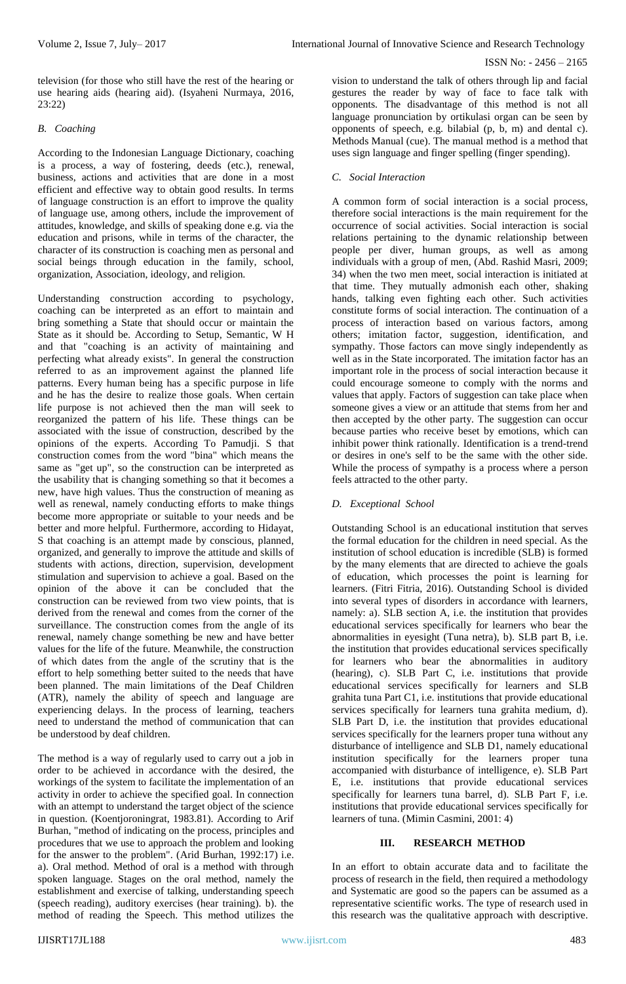television (for those who still have the rest of the hearing or use hearing aids (hearing aid). (Isyaheni Nurmaya, 2016, 23:22)

## *B. Coaching*

According to the Indonesian Language Dictionary, coaching is a process, a way of fostering, deeds (etc.), renewal, business, actions and activities that are done in a most efficient and effective way to obtain good results. In terms of language construction is an effort to improve the quality of language use, among others, include the improvement of attitudes, knowledge, and skills of speaking done e.g. via the education and prisons, while in terms of the character, the character of its construction is coaching men as personal and social beings through education in the family, school, organization, Association, ideology, and religion.

Understanding construction according to psychology, coaching can be interpreted as an effort to maintain and bring something a State that should occur or maintain the State as it should be. According to Setup, Semantic, W H and that "coaching is an activity of maintaining and perfecting what already exists". In general the construction referred to as an improvement against the planned life patterns. Every human being has a specific purpose in life and he has the desire to realize those goals. When certain life purpose is not achieved then the man will seek to reorganized the pattern of his life. These things can be associated with the issue of construction, described by the opinions of the experts. According To Pamudji. S that construction comes from the word "bina" which means the same as "get up", so the construction can be interpreted as the usability that is changing something so that it becomes a new, have high values. Thus the construction of meaning as well as renewal, namely conducting efforts to make things become more appropriate or suitable to your needs and be better and more helpful. Furthermore, according to Hidayat, S that coaching is an attempt made by conscious, planned, organized, and generally to improve the attitude and skills of students with actions, direction, supervision, development stimulation and supervision to achieve a goal. Based on the opinion of the above it can be concluded that the construction can be reviewed from two view points, that is derived from the renewal and comes from the corner of the surveillance. The construction comes from the angle of its renewal, namely change something be new and have better values for the life of the future. Meanwhile, the construction of which dates from the angle of the scrutiny that is the effort to help something better suited to the needs that have been planned. The main limitations of the Deaf Children (ATR), namely the ability of speech and language are experiencing delays. In the process of learning, teachers need to understand the method of communication that can be understood by deaf children.

The method is a way of regularly used to carry out a job in order to be achieved in accordance with the desired, the workings of the system to facilitate the implementation of an activity in order to achieve the specified goal. In connection with an attempt to understand the target object of the science in question. (Koentjoroningrat, 1983.81). According to Arif Burhan, "method of indicating on the process, principles and procedures that we use to approach the problem and looking for the answer to the problem". (Arid Burhan, 1992:17) i.e. a). Oral method. Method of oral is a method with through spoken language. Stages on the oral method, namely the establishment and exercise of talking, understanding speech (speech reading), auditory exercises (hear training). b). the method of reading the Speech. This method utilizes the

vision to understand the talk of others through lip and facial gestures the reader by way of face to face talk with opponents. The disadvantage of this method is not all language pronunciation by ortikulasi organ can be seen by opponents of speech, e.g. bilabial (p, b, m) and dental c). Methods Manual (cue). The manual method is a method that uses sign language and finger spelling (finger spending).

## *C. Social Interaction*

A common form of social interaction is a social process, therefore social interactions is the main requirement for the occurrence of social activities. Social interaction is social relations pertaining to the dynamic relationship between people per diver, human groups, as well as among individuals with a group of men, (Abd. Rashid Masri, 2009; 34) when the two men meet, social interaction is initiated at that time. They mutually admonish each other, shaking hands, talking even fighting each other. Such activities constitute forms of social interaction. The continuation of a process of interaction based on various factors, among others; imitation factor, suggestion, identification, and sympathy. Those factors can move singly independently as well as in the State incorporated. The imitation factor has an important role in the process of social interaction because it could encourage someone to comply with the norms and values that apply. Factors of suggestion can take place when someone gives a view or an attitude that stems from her and then accepted by the other party. The suggestion can occur because parties who receive beset by emotions, which can inhibit power think rationally. Identification is a trend-trend or desires in one's self to be the same with the other side. While the process of sympathy is a process where a person feels attracted to the other party.

# *D. Exceptional School*

Outstanding School is an educational institution that serves the formal education for the children in need special. As the institution of school education is incredible (SLB) is formed by the many elements that are directed to achieve the goals of education, which processes the point is learning for learners. (Fitri Fitria, 2016). Outstanding School is divided into several types of disorders in accordance with learners, namely: a). SLB section A, i.e. the institution that provides educational services specifically for learners who bear the abnormalities in eyesight (Tuna netra), b). SLB part B, i.e. the institution that provides educational services specifically for learners who bear the abnormalities in auditory (hearing), c). SLB Part C, i.e. institutions that provide educational services specifically for learners and SLB grahita tuna Part C1, i.e. institutions that provide educational services specifically for learners tuna grahita medium, d). SLB Part D, i.e. the institution that provides educational services specifically for the learners proper tuna without any disturbance of intelligence and SLB D1, namely educational institution specifically for the learners proper tuna accompanied with disturbance of intelligence, e). SLB Part E, i.e. institutions that provide educational services specifically for learners tuna barrel, d). SLB Part F, i.e. institutions that provide educational services specifically for learners of tuna. (Mimin Casmini, 2001: 4)

#### **III. RESEARCH METHOD**

In an effort to obtain accurate data and to facilitate the process of research in the field, then required a methodology and Systematic are good so the papers can be assumed as a representative scientific works. The type of research used in this research was the qualitative approach with descriptive.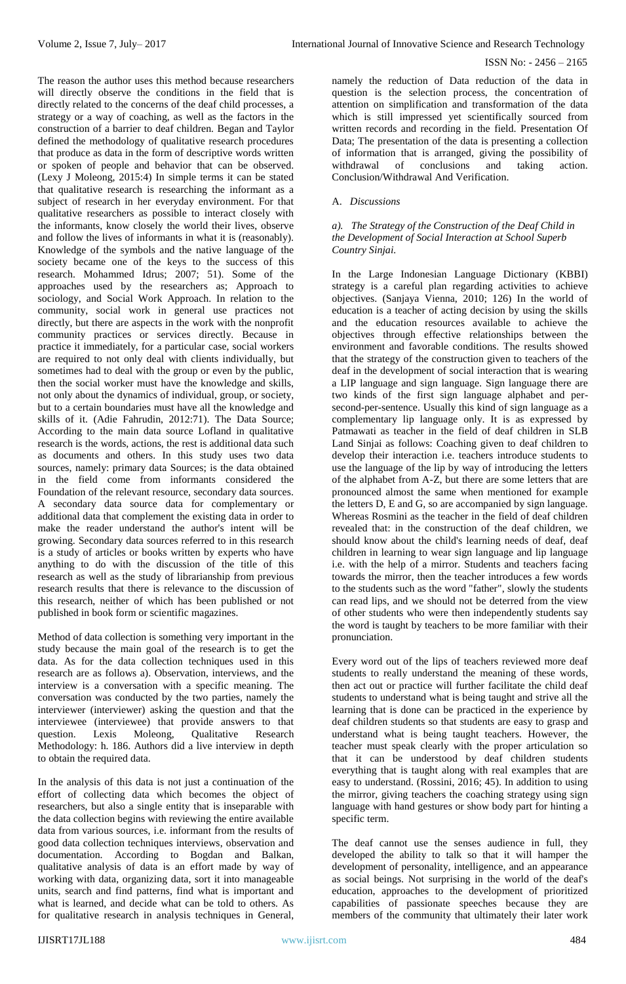The reason the author uses this method because researchers will directly observe the conditions in the field that is directly related to the concerns of the deaf child processes, a strategy or a way of coaching, as well as the factors in the construction of a barrier to deaf children. Began and Taylor defined the methodology of qualitative research procedures that produce as data in the form of descriptive words written or spoken of people and behavior that can be observed. (Lexy J Moleong, 2015:4) In simple terms it can be stated that qualitative research is researching the informant as a subject of research in her everyday environment. For that qualitative researchers as possible to interact closely with the informants, know closely the world their lives, observe and follow the lives of informants in what it is (reasonably). Knowledge of the symbols and the native language of the society became one of the keys to the success of this research. Mohammed Idrus; 2007; 51). Some of the approaches used by the researchers as; Approach to sociology, and Social Work Approach. In relation to the community, social work in general use practices not directly, but there are aspects in the work with the nonprofit community practices or services directly. Because in practice it immediately, for a particular case, social workers are required to not only deal with clients individually, but sometimes had to deal with the group or even by the public, then the social worker must have the knowledge and skills, not only about the dynamics of individual, group, or society, but to a certain boundaries must have all the knowledge and skills of it. (Adie Fahrudin, 2012:71). The Data Source; According to the main data source Lofland in qualitative research is the words, actions, the rest is additional data such as documents and others. In this study uses two data sources, namely: primary data Sources; is the data obtained in the field come from informants considered the Foundation of the relevant resource, secondary data sources. A secondary data source data for complementary or additional data that complement the existing data in order to make the reader understand the author's intent will be growing. Secondary data sources referred to in this research is a study of articles or books written by experts who have anything to do with the discussion of the title of this research as well as the study of librarianship from previous research results that there is relevance to the discussion of this research, neither of which has been published or not published in book form or scientific magazines.

Method of data collection is something very important in the study because the main goal of the research is to get the data. As for the data collection techniques used in this research are as follows a). Observation, interviews, and the interview is a conversation with a specific meaning. The conversation was conducted by the two parties, namely the interviewer (interviewer) asking the question and that the interviewee (interviewee) that provide answers to that question. Lexis Moleong, Qualitative Research Methodology: h. 186. Authors did a live interview in depth to obtain the required data.

In the analysis of this data is not just a continuation of the effort of collecting data which becomes the object of researchers, but also a single entity that is inseparable with the data collection begins with reviewing the entire available data from various sources, i.e. informant from the results of good data collection techniques interviews, observation and documentation. According to Bogdan and Balkan, qualitative analysis of data is an effort made by way of working with data, organizing data, sort it into manageable units, search and find patterns, find what is important and what is learned, and decide what can be told to others. As for qualitative research in analysis techniques in General,

namely the reduction of Data reduction of the data in question is the selection process, the concentration of attention on simplification and transformation of the data which is still impressed yet scientifically sourced from written records and recording in the field. Presentation Of Data; The presentation of the data is presenting a collection of information that is arranged, giving the possibility of conclusions and taking action. Conclusion/Withdrawal And Verification.

## A.*Discussions*

#### *a). The Strategy of the Construction of the Deaf Child in the Development of Social Interaction at School Superb Country Sinjai.*

In the Large Indonesian Language Dictionary (KBBI) strategy is a careful plan regarding activities to achieve objectives. (Sanjaya Vienna, 2010; 126) In the world of education is a teacher of acting decision by using the skills and the education resources available to achieve the objectives through effective relationships between the environment and favorable conditions. The results showed that the strategy of the construction given to teachers of the deaf in the development of social interaction that is wearing a LIP language and sign language. Sign language there are two kinds of the first sign language alphabet and persecond-per-sentence. Usually this kind of sign language as a complementary lip language only. It is as expressed by Patmawati as teacher in the field of deaf children in SLB Land Sinjai as follows: Coaching given to deaf children to develop their interaction i.e. teachers introduce students to use the language of the lip by way of introducing the letters of the alphabet from A-Z, but there are some letters that are pronounced almost the same when mentioned for example the letters D, E and G, so are accompanied by sign language. Whereas Rosmini as the teacher in the field of deaf children revealed that: in the construction of the deaf children, we should know about the child's learning needs of deaf, deaf children in learning to wear sign language and lip language i.e. with the help of a mirror. Students and teachers facing towards the mirror, then the teacher introduces a few words to the students such as the word "father", slowly the students can read lips, and we should not be deterred from the view of other students who were then independently students say the word is taught by teachers to be more familiar with their pronunciation.

Every word out of the lips of teachers reviewed more deaf students to really understand the meaning of these words, then act out or practice will further facilitate the child deaf students to understand what is being taught and strive all the learning that is done can be practiced in the experience by deaf children students so that students are easy to grasp and understand what is being taught teachers. However, the teacher must speak clearly with the proper articulation so that it can be understood by deaf children students everything that is taught along with real examples that are easy to understand. (Rossini, 2016; 45). In addition to using the mirror, giving teachers the coaching strategy using sign language with hand gestures or show body part for hinting a specific term.

The deaf cannot use the senses audience in full, they developed the ability to talk so that it will hamper the development of personality, intelligence, and an appearance as social beings. Not surprising in the world of the deaf's education, approaches to the development of prioritized capabilities of passionate speeches because they are members of the community that ultimately their later work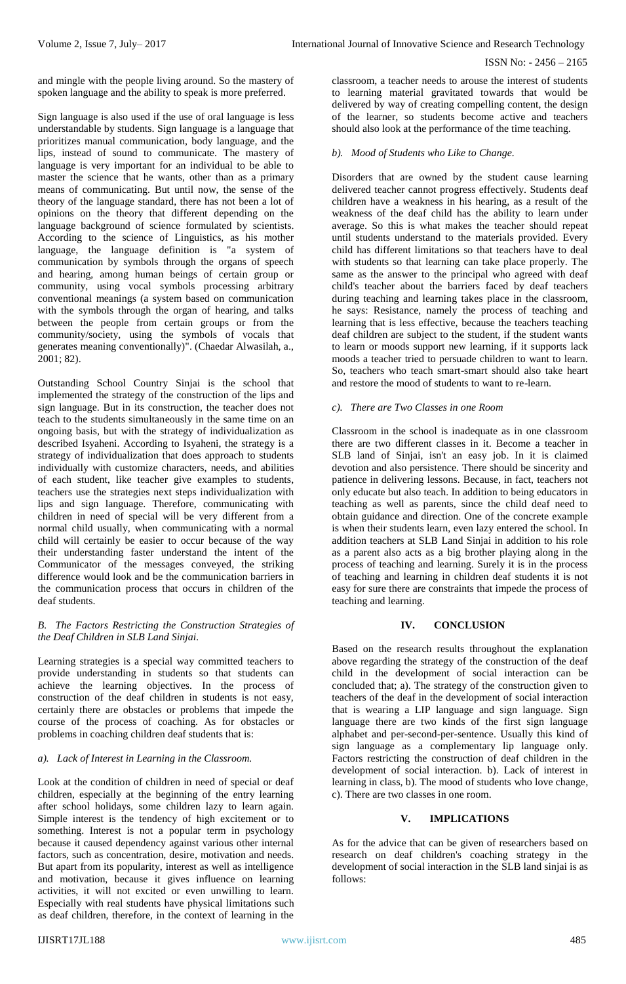### ISSN No: - 2456 – 2165

and mingle with the people living around. So the mastery of spoken language and the ability to speak is more preferred.

Sign language is also used if the use of oral language is less understandable by students. Sign language is a language that prioritizes manual communication, body language, and the lips, instead of sound to communicate. The mastery of language is very important for an individual to be able to master the science that he wants, other than as a primary means of communicating. But until now, the sense of the theory of the language standard, there has not been a lot of opinions on the theory that different depending on the language background of science formulated by scientists. According to the science of Linguistics, as his mother language, the language definition is "a system of communication by symbols through the organs of speech and hearing, among human beings of certain group or community, using vocal symbols processing arbitrary conventional meanings (a system based on communication with the symbols through the organ of hearing, and talks between the people from certain groups or from the community/society, using the symbols of vocals that generates meaning conventionally)". (Chaedar Alwasilah, a., 2001; 82).

Outstanding School Country Sinjai is the school that implemented the strategy of the construction of the lips and sign language. But in its construction, the teacher does not teach to the students simultaneously in the same time on an ongoing basis, but with the strategy of individualization as described Isyaheni. According to Isyaheni, the strategy is a strategy of individualization that does approach to students individually with customize characters, needs, and abilities of each student, like teacher give examples to students, teachers use the strategies next steps individualization with lips and sign language. Therefore, communicating with children in need of special will be very different from a normal child usually, when communicating with a normal child will certainly be easier to occur because of the way their understanding faster understand the intent of the Communicator of the messages conveyed, the striking difference would look and be the communication barriers in the communication process that occurs in children of the deaf students.

#### *B. The Factors Restricting the Construction Strategies of the Deaf Children in SLB Land Sinjai.*

Learning strategies is a special way committed teachers to provide understanding in students so that students can achieve the learning objectives. In the process of construction of the deaf children in students is not easy, certainly there are obstacles or problems that impede the course of the process of coaching. As for obstacles or problems in coaching children deaf students that is:

#### *a). Lack of Interest in Learning in the Classroom.*

Look at the condition of children in need of special or deaf children, especially at the beginning of the entry learning after school holidays, some children lazy to learn again. Simple interest is the tendency of high excitement or to something. Interest is not a popular term in psychology because it caused dependency against various other internal factors, such as concentration, desire, motivation and needs. But apart from its popularity, interest as well as intelligence and motivation, because it gives influence on learning activities, it will not excited or even unwilling to learn. Especially with real students have physical limitations such as deaf children, therefore, in the context of learning in the

classroom, a teacher needs to arouse the interest of students to learning material gravitated towards that would be delivered by way of creating compelling content, the design of the learner, so students become active and teachers should also look at the performance of the time teaching.

## *b). Mood of Students who Like to Change.*

Disorders that are owned by the student cause learning delivered teacher cannot progress effectively. Students deaf children have a weakness in his hearing, as a result of the weakness of the deaf child has the ability to learn under average. So this is what makes the teacher should repeat until students understand to the materials provided. Every child has different limitations so that teachers have to deal with students so that learning can take place properly. The same as the answer to the principal who agreed with deaf child's teacher about the barriers faced by deaf teachers during teaching and learning takes place in the classroom, he says: Resistance, namely the process of teaching and learning that is less effective, because the teachers teaching deaf children are subject to the student, if the student wants to learn or moods support new learning, if it supports lack moods a teacher tried to persuade children to want to learn. So, teachers who teach smart-smart should also take heart and restore the mood of students to want to re-learn.

## *c). There are Two Classes in one Room*

Classroom in the school is inadequate as in one classroom there are two different classes in it. Become a teacher in SLB land of Sinjai, isn't an easy job. In it is claimed devotion and also persistence. There should be sincerity and patience in delivering lessons. Because, in fact, teachers not only educate but also teach. In addition to being educators in teaching as well as parents, since the child deaf need to obtain guidance and direction. One of the concrete example is when their students learn, even lazy entered the school. In addition teachers at SLB Land Sinjai in addition to his role as a parent also acts as a big brother playing along in the process of teaching and learning. Surely it is in the process of teaching and learning in children deaf students it is not easy for sure there are constraints that impede the process of teaching and learning.

## **IV. CONCLUSION**

Based on the research results throughout the explanation above regarding the strategy of the construction of the deaf child in the development of social interaction can be concluded that; a). The strategy of the construction given to teachers of the deaf in the development of social interaction that is wearing a LIP language and sign language. Sign language there are two kinds of the first sign language alphabet and per-second-per-sentence. Usually this kind of sign language as a complementary lip language only. Factors restricting the construction of deaf children in the development of social interaction. b). Lack of interest in learning in class, b). The mood of students who love change, c). There are two classes in one room.

# **V. IMPLICATIONS**

As for the advice that can be given of researchers based on research on deaf children's coaching strategy in the development of social interaction in the SLB land sinjai is as follows: